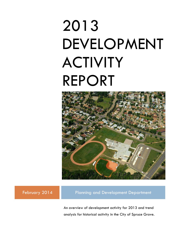# 2013 DEVELOPMENT **ACTIVITY** REPORT



<span id="page-0-0"></span>February 2014 Planning and Development Department

An overview of development activity for 2013 and trend analysis for historical activity in the City of Spruce Grove.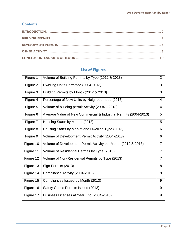#### **Contents**

## **List of Figures**

<span id="page-1-0"></span>

| Figure 1              | Volume of Building Permits by Type (2012 & 2013)                 | $\overline{2}$ |
|-----------------------|------------------------------------------------------------------|----------------|
| Figure $\overline{2}$ | Dwelling Units Permitted (2004-2013)                             | 3              |
| Figure 3              | Building Permits by Month (2012 & 2013)                          | 3              |
| Figure 4              | Percentage of New Units by Neighbourhood (2013)                  | $\overline{4}$ |
| Figure 5              | Volume of building permit Activity (2004 - 2013)                 | $\overline{4}$ |
| Figure 6              | Average Value of New Commercial & Industrial Permits (2004-2013) | 5              |
| Figure 7              | Housing Starts by Market (2013)                                  | 5              |
| Figure 8              | Housing Starts by Market and Dwelling Type (2013)                | 6              |
| Figure 9              | Volume of Development Permit Activity (2004-2013)                | 6              |
| Figure 10             | Volume of Development Permit Activity per Month (2012 & 2013)    | $\overline{7}$ |
| Figure 11             | Volume of Residential Permits by Type (2013)                     | $\overline{7}$ |
| Figure 12             | Volume of Non-Residential Permits by Type (2013)                 | $\overline{7}$ |
| Figure 13             | Sign Permits (2013)                                              | 8              |
| Figure 14             | Compliance Activity (2004-2013)                                  | 8              |
| Figure 15             | Compliances Issued by Month (2013)                               | 9              |
| Figure 16             | Safety Codes Permits Issued (2013)                               | 9              |
| Figure 17             | Business Licenses at Year End (2004-2013)                        | 9              |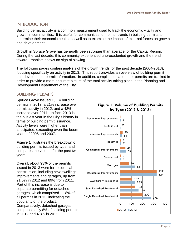#### INTRODUCTION

Building permit activity is a common measurement used to track the economic vitality and growth in communities. It is useful for communities to monitor trends in building permits to determine their economic health, as well as to examine the impact of external forces on growth and development.

Growth in Spruce Grove has generally been stronger than average for the Capital Region. During the last decade, this community experienced unprecedented growth and the trend toward urbanism shows no sign of slowing.

The following pages contain analysis of the growth trends for the past decade (2004-2013), focusing specifically on activity in 2013. This report provides an overview of building permit and development permit information. In addition, compliances and other permits are tracked in order to provide a more accurate picture of the total activity taking place in the Planning and Development Department of the City.

#### <span id="page-2-0"></span>BUILDING PERMITS

Spruce Grove issued 1,114 building permits in 2013, a 21% increase over permit activity in 2012, and a 43% increase over 2011. In fact, 2013 is the busiest year in the City's history in terms of building permit issuance. Activity levels were higher than anticipated, exceeding even the boom years of 2006 and 2007.

**Figure 1** illustrates the breakdown of building permits issued by type, and compares the volume for the past two years.

Overall, about 93% of the permits issued in 2013 were for residential construction, including new dwellings, improvements and garages, up from 91.5% in 2012 and 89% from 2011. Part of this increase is due to separate permitting for detached garages, which comprised 11.8% of all permits in 2013, indicating the popularity of the product. Comparatively, detached garages comprised only 8% of building permits in 2012 and 4.8% in 2011.

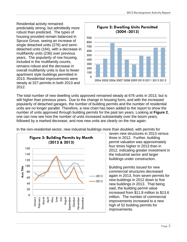Residential activity remained predictably strong, but admittedly more robust than predicted. The types of housing provided remain balanced in Spruce Grove, seeing an increase of single detached units (276) and semidetached units (164), with a decrease in multifamily units (236) over previous years. The popularity of row housing, included in the multifamily counts, remains robust and the decrease in overall multifamily units is due to fewer apartment style buildings permitted in 2013. Residential improvements were steady at 327 permits in both 2013 and 2012.



The total number of new dwelling units approved remained steady at 676 units in 2013, but is still higher than previous years. Due to the change in housing form, and with the increased popularity of detached garages, the number of building permits and the number of residential units are no longer parallel. Therefore, a new chart has been added to the report to show the number of units approved through building permits for the past ten years. Looking at **Figure 2**, one can now see how the number of units increased substantially over the boom years, followed by a marked decrease, and now new units are clearly on the rise again.

In the non-residential sector, new industrial buildings more than doubled, with permits for



seven new structures in 2013 versus three in 2012. Further, building permit valuation was approximately four times higher in 2013 than in 2012, indicating greater investment in the industrial sector and larger buildings under construction.

Building permits issued for new commercial structures decreased again in 2013, from seven permits for new buildings in 2012 down to five new buildings in 2013. That being said, the building permit value increased from \$11.8 million to \$13.6 million. The number of commercial improvements increased to a new high of 52 building permits for improvements.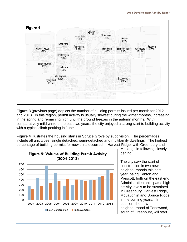

**Figure 3** (previous page) depicts the number of building permits issued per month for 2012 and 2013. In this region, permit activity is usually slowest during the winter months, increasing in the spring and remaining high until the ground freezes in the autumn months. With comparatively mild winters the past two years, the city enjoyed a strong start to building activity with a typical climb peaking in June.

**Figure 4** illustrates the housing starts in Spruce Grove by subdivision. The percentages include all unit types: single detached, semi-detached and multifamily dwellings. The highest percentage of building permits for new units occurred in Harvest Ridge, with Greenbury and



McLaughlin following closely behind.

The city saw the start of construction in two new neighbourhoods this past year, being Kenton and Prescott, both on the east end. Administration anticipates high activity levels to be sustained in Greenbury, Harvest Ridge, McLaughlin and Spruce Ridge in the coming years. In addition, the new neighbourhood of Tonewood, south of Greenbury, will start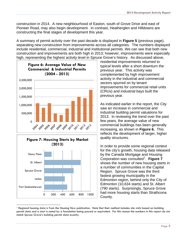construction in 2014. A new neighbourhood of Easton, south of Grove Drive and east of Pioneer Road, may also begin development. In contrast, Heatherglen and Hilldowns are constructing the final stages of development this year.

A summary of permit activity over the past decade is displayed in **Figure 5** (previous page), separating new construction from improvements across all categories. The numbers displayed include residential, commercial, industrial and institutional permits. We can see that both new construction and improvements are both high in 2013; however, improvements were especially high, representing the highest activity level in Spruce Grove's history. As discussed above,





residential improvements returned to typical levels after a short downturn the previous year. This activity was complemented by high improvement activity in the industrial and commercial sectors spurred on by tenant improvements for commercial retail units (CRUs) and industrial bays built the previous year.

As indicated earlier in the report, the City saw an increase in commercial and industrial building permit valuations for 2013. In reviewing the trend over the past few years, the average value of new commercial buildings has been generally increasing, as shown in **Figure 6.** This reflects the development of larger, higher quality structures.

In order to provide some regional context for the city's growth, housing data released by the Canada Mortgage and Housing Corporation was consulted<sup>[1](#page-0-0)</sup>. Figure 7 shows the number of new housing starts in a number of communities in the Capital Region. Spruce Grove was the third fastest growing municipality in the Edmonton region, behind only the City of Edmonton (10,634 starts) and St. Albert (790 starts). Surprisingly, Spruce Grove had more housing starts than Strathcona County.

 <sup>1</sup> Regional housing data is from the Housing Now publication. Note that their method includes site visits based on building permit data and a start is noted by a foundation being poured or equivalent. For this reason the numbers in this report do not match Spruce Grove's building permit data exactly.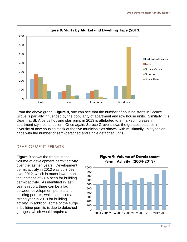

From the above graph, **Figure 8,** one can see that the number of housing starts in Spruce Grove is partially influenced by the popularity of apartment and row house units. Similarly, it is clear that St. Albert's housing start jump in 2013 is attributed to a marked increase in apartment style construction. Once again, Spruce Grove shows the greatest balance in diversity of new housing stock of the five municipalities shown, with multifamily unit types on pace with the number of semi-detached and single detached units.

#### <span id="page-6-0"></span>DEVELOPMENT PERMITS

**Figure 9** shows the trends in the volume of development permit activity over the last ten years. Development permit activity in 2013 was up 3.5% over 2012, which is much lower than the increase of 21% seen for building permit activity. As identified in last year's report, there can be a lag between development permits and building permits, which identified a strong year in 2013 for building activity. In addition, some of the surge in building permits is due to detached garages, which would require a

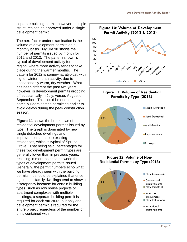separate building permit; however, multiple structures can be approved under a single development permit.

The next factor under examination is the volume of development permits on a monthly basis. **Figure 10** shows the number of permits issued by month for 2012 and 2013. The pattern shown is typical of development activity for the region, where more activity tends to take place during the warmer months. The pattern for 2012 is somewhat atypical, with higher winter month activity, due to unseasonably warm, dry weather. What has been different the past two years, however, is development permits dropping off substantially in July, versus August or September. This could be due to many home builders getting permitting earlier to avoid delays during the peak construction season.

**Figure 11** shows the breakdown of residential development permits issued by type. The graph is dominated by new single detached dwellings and improvements made to existing residences, which is typical of Spruce Grove. That being said, percentages for these two development permit types are generally lower than in previous years, resulting in more balance between the types of development permits issued. Generally, the permit numbers echo what we have already seen with the building permits. It should be explained that once again, multifamily dwellings tend to show a discrepancy because for certain building types, such as row house projects or apartment complexes with multiple buildings, a separate building permit is required for each structure, but only one development permit is required for the entire project regardless of the number of units contained within.





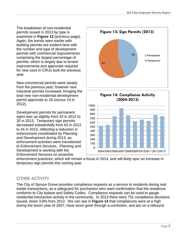The breakdown of non-residential permits issued in 2013 by type is examined in **Figure 12** (previous page). Again, the trends seen earlier with building permits are evident here with the number and type of development permits with commercial improvements comprising the largest percentage of permits, which is largely due to tenant improvements and approvals required for new uses in CRUs built the previous year.

New commercial permits were steady from the previous year; however new industrial permits increased, bringing the total new non-residential development permit approvals to 16 (versus 14 in 2012).

Development permits for permanent signs was up slightly from 33 in 2012 to 35 in 2013. Temporary sign permits decreased substantially from 62 in 2012 to 44 in 2013, reflecting a reduction in enforcement coordinated by Planning and Development during 2013, as enforcement activities were transitioned to Enforcement Services. Planning and Development is working with the Enforcement Services on proactive





enforcement practices, which will remain a focus in 2014, and will likely spur an increase in temporary sign permits this coming year.

### <span id="page-8-0"></span>OTHER ACTIVITY

The City of Spruce Grove provides compliance requests as a service to residents during real estate transactions, as a safeguard for purchasers who want confirmation that the residence conforms to City bylaws and Safety Codes. Compliance requests can be used to gauge residential transaction activity in the community. In 2013 there were 751 compliance decisions issued, down 3.8% from 2012. We can see in **Figure 14** that compliances were at a high during the boom year of 2007, have since gone through a correction, and are on a rebound.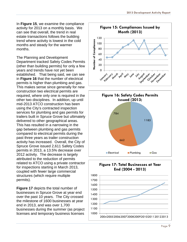In **Figure 15**, we examine the compliance activity for 2013 on a monthly basis. We can see that overall, the trend in real estate transactions follows the building trend where activity is lowest in the cold months and steady for the warmer months.

The Planning and Development Department tracked Safety Codes Permits (other than building permits) for only a few years and trends have not yet been established. That being said, we can see in **Figure 16** that the number of electrical permits is higher than plumbing and gas. This makes sense since generally for new construction two electrical permits are required, where only one is required in the other two disciplines. In addition, up until mid-2013 ATCO construction has been using the City's contracted inspection services for plumbing and gas permits for trailers built in Spruce Grove but ultimately delivered to other geographical areas. This has resulted in a narrowing in the gap between plumbing and gas permits compared to electrical permits during the past three years as trailer construction activity has increased. Overall, the City of Spruce Grove issued 2,611 Safety Codes permits in 2013, a 13.5% decrease over 2012 activity. The decrease is largely attributed to the reduction of permits related to ATCO using a private contractor for inspections starting in March 2013, coupled with fewer large commercial structures (which require multiple permits).

**Figure 17** depicts the total number of businesses in Spruce Grove at year end over the past 10 years. The City crossed the milestone of 1600 businesses at year end in 2013, and was over 1,700 businesses during the summer (as project licenses and temporary business licenses